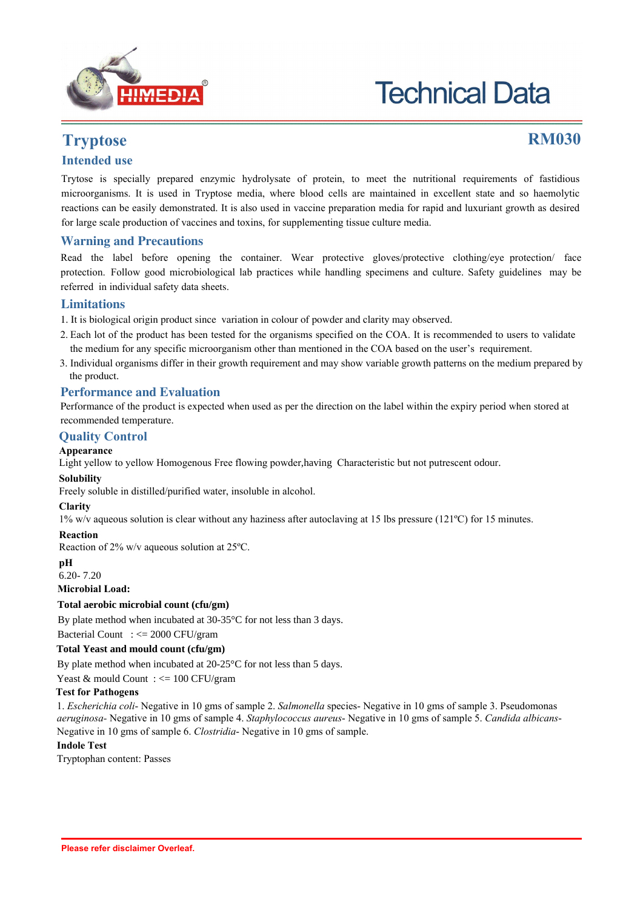

# **Technical Data**

## **Tryptose RM030**

### **Intended use**

Trytose is specially prepared enzymic hydrolysate of protein, to meet the nutritional requirements of fastidious microorganisms. It is used in Tryptose media, where blood cells are maintained in excellent state and so haemolytic reactions can be easily demonstrated. It is also used in vaccine preparation media for rapid and luxuriant growth as desired for large scale production of vaccines and toxins, for supplementing tissue culture media.

#### **Warning and Precautions**

Read the label before opening the container. Wear protective gloves/protective clothing/eye protection/ face protection. Follow good microbiological lab practices while handling specimens and culture. Safety guidelines may be referred in individual safety data sheets.

#### **Limitations**

- 1. It is biological origin product since variation in colour of powder and clarity may observed.
- 2. Each lot of the product has been tested for the organisms specified on the COA. It is recommended to users to validate the medium for any specific microorganism other than mentioned in the COA based on the user's requirement.
- 3. Individual organisms differ in their growth requirement and may show variable growth patterns on the medium prepared by the product.

#### **Performance and Evaluation**

Performance of the product is expected when used as per the direction on the label within the expiry period when stored at recommended temperature.

#### **Quality Control**

#### **Appearance**

Light yellow to yellow Homogenous Free flowing powder,having Characteristic but not putrescent odour.

#### **Solubility**

Freely soluble in distilled/purified water, insoluble in alcohol.

#### **Clarity**

1% w/v aqueous solution is clear without any haziness after autoclaving at 15 lbs pressure (121ºC) for 15 minutes.

#### **Reaction**

Reaction of 2% w/v aqueous solution at 25ºC.

#### **pH**

6.20- 7.20

#### **Microbial Load:**

**Total aerobic microbial count (cfu/gm)** 

By plate method when incubated at 30-35°C for not less than 3 days.

Bacterial Count : <= 2000 CFU/gram

#### **Total Yeast and mould count (cfu/gm)**

By plate method when incubated at 20-25<sup>o</sup>C for not less than 5 days.

#### Yeast & mould Count : <= 100 CFU/gram

#### **Test for Pathogens**

1. *Escherichia coli*- Negative in 10 gms of sample 2. *Salmonella* species- Negative in 10 gms of sample 3. Pseudomonas *aeruginosa-* Negative in 10 gms of sample 4. *Staphylococcus aureus*- Negative in 10 gms of sample 5. *Candida albicans*-Negative in 10 gms of sample 6. *Clostridia*- Negative in 10 gms of sample.

#### **Indole Test**

Tryptophan content: Passes